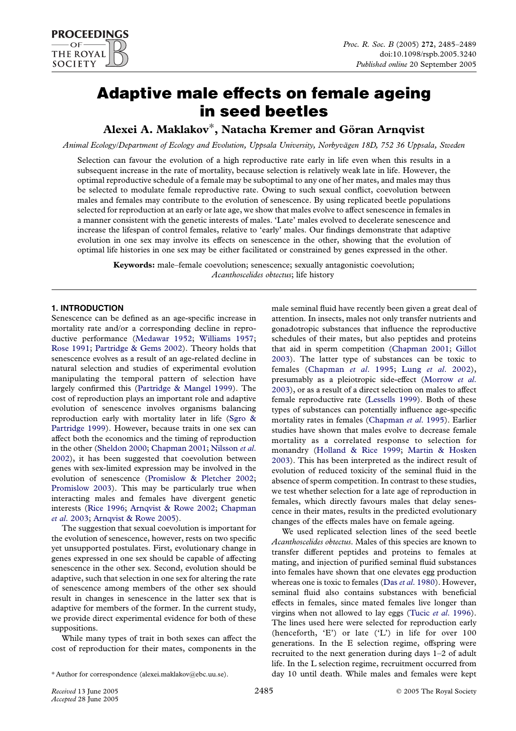# Adaptive male effects on female ageing in seed beetles

# Alexei A. Maklakov\*, Natacha Kremer and Göran Arnqvist

Animal Ecology/Department of Ecology and Evolution, Uppsala University, Norbyvägen 18D, 752 36 Uppsala, Sweden

Selection can favour the evolution of a high reproductive rate early in life even when this results in a subsequent increase in the rate of mortality, because selection is relatively weak late in life. However, the optimal reproductive schedule of a female may be suboptimal to any one of her mates, and males may thus be selected to modulate female reproductive rate. Owing to such sexual conflict, coevolution between males and females may contribute to the evolution of senescence. By using replicated beetle populations selected for reproduction at an early or late age, we show that males evolve to affect senescence in females in a manner consistent with the genetic interests of males. 'Late' males evolved to decelerate senescence and increase the lifespan of control females, relative to 'early' males. Our findings demonstrate that adaptive evolution in one sex may involve its effects on senescence in the other, showing that the evolution of optimal life histories in one sex may be either facilitated or constrained by genes expressed in the other.

Keywords: male–female coevolution; senescence; sexually antagonistic coevolution; Acanthoscelides obtectus; life history

## 1. INTRODUCTION

Senescence can be defined as an age-specific increase in mortality rate and/or a corresponding decline in reproductive performance [\(Medawar 1952;](#page-4-0) [Williams 1957;](#page-4-0) [Rose 1991;](#page-4-0) [Partridge & Gems 2002](#page-4-0)). Theory holds that senescence evolves as a result of an age-related decline in natural selection and studies of experimental evolution manipulating the temporal pattern of selection have largely confirmed this ([Partridge & Mangel 1999](#page-4-0)). The cost of reproduction plays an important role and adaptive evolution of senescence involves organisms balancing reproduction early with mortality later in life [\(Sgro &](#page-4-0) [Partridge 1999\)](#page-4-0). However, because traits in one sex can affect both the economics and the timing of reproduction in the other [\(Sheldon 2000](#page-4-0); [Chapman 2001](#page-3-0); [Nilsson](#page-4-0) et al. [2002](#page-4-0)), it has been suggested that coevolution between genes with sex-limited expression may be involved in the evolution of senescence ([Promislow & Pletcher 2002;](#page-4-0) [Promislow 2003\)](#page-4-0). This may be particularly true when interacting males and females have divergent genetic interests ([Rice 1996;](#page-4-0) [Arnqvist & Rowe 2002](#page-3-0); [Chapman](#page-3-0) et al[. 2003](#page-3-0); [Arnqvist & Rowe 2005\)](#page-3-0).

The suggestion that sexual coevolution is important for the evolution of senescence, however, rests on two specific yet unsupported postulates. First, evolutionary change in genes expressed in one sex should be capable of affecting senescence in the other sex. Second, evolution should be adaptive, such that selection in one sex for altering the rate of senescence among members of the other sex should result in changes in senescence in the latter sex that is adaptive for members of the former. In the current study, we provide direct experimental evidence for both of these suppositions.

While many types of trait in both sexes can affect the cost of reproduction for their mates, components in the male seminal fluid have recently been given a great deal of attention. In insects, males not only transfer nutrients and gonadotropic substances that influence the reproductive schedules of their mates, but also peptides and proteins that aid in sperm competition ([Chapman 2001](#page-3-0); [Gillot](#page-4-0) [2003](#page-4-0)). The latter type of substances can be toxic to females [\(Chapman](#page-3-0) et al. 1995; Lung et al[. 2002\)](#page-4-0), presumably as a pleiotropic side-effect ([Morrow](#page-4-0) et al. [2003](#page-4-0)), or as a result of a direct selection on males to affect female reproductive rate [\(Lessells 1999](#page-4-0)). Both of these types of substances can potentially influence age-specific mortality rates in females [\(Chapman](#page-3-0) et al. 1995). Earlier studies have shown that males evolve to decrease female mortality as a correlated response to selection for monandry [\(Holland & Rice 1999;](#page-4-0) [Martin & Hosken](#page-4-0) [2003](#page-4-0)). This has been interpreted as the indirect result of evolution of reduced toxicity of the seminal fluid in the absence of sperm competition. In contrast to these studies, we test whether selection for a late age of reproduction in females, which directly favours males that delay senescence in their mates, results in the predicted evolutionary changes of the effects males have on female ageing.

We used replicated selection lines of the seed beetle Acanthoscelides obtectus. Males of this species are known to transfer different peptides and proteins to females at mating, and injection of purified seminal fluid substances into females have shown that one elevates egg production whereas one is toxic to females (Das et al[. 1980\)](#page-3-0). However, seminal fluid also contains substances with beneficial effects in females, since mated females live longer than virgins when not allowed to lay eggs (Tucic et al[. 1996](#page-4-0)). The lines used here were selected for reproduction early (henceforth, 'E') or late ('L') in life for over 100 generations. In the E selection regime, offspring were recruited to the next generation during days 1–2 of adult life. In the L selection regime, recruitment occurred from day 10 until death. While males and females were kept

<sup>\*</sup> Author for correspondence (alexei.maklakov@ebc.uu.se).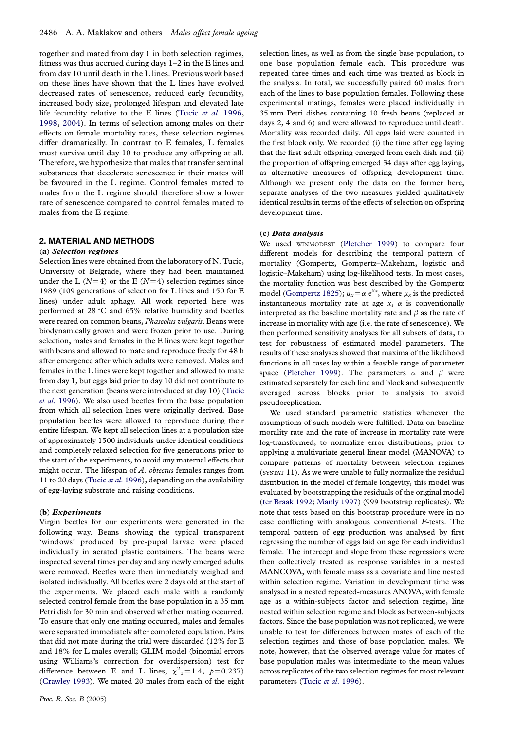together and mated from day 1 in both selection regimes, fitness was thus accrued during days 1–2 in the E lines and from day 10 until death in the L lines. Previous work based on these lines have shown that the L lines have evolved decreased rates of senescence, reduced early fecundity, increased body size, prolonged lifespan and elevated late life fecundity relative to the E lines (Tucic et al[. 1996,](#page-4-0) [1998](#page-4-0), [2004\)](#page-4-0). In terms of selection among males on their effects on female mortality rates, these selection regimes differ dramatically. In contrast to E females, L females must survive until day 10 to produce any offspring at all. Therefore, we hypothesize that males that transfer seminal substances that decelerate senescence in their mates will be favoured in the L regime. Control females mated to males from the L regime should therefore show a lower rate of senescence compared to control females mated to males from the E regime.

### 2. MATERIAL AND METHODS

#### (a) Selection regimes

Selection lines were obtained from the laboratory of N. Tucic, University of Belgrade, where they had been maintained under the L ( $N=4$ ) or the E ( $N=4$ ) selection regimes since 1989 (109 generations of selection for L lines and 150 for E lines) under adult aphagy. All work reported here was performed at 28 °C and 65% relative humidity and beetles were reared on common beans, Phaseolus vulgaris. Beans were biodynamically grown and were frozen prior to use. During selection, males and females in the E lines were kept together with beans and allowed to mate and reproduce freely for 48 h after emergence after which adults were removed. Males and females in the L lines were kept together and allowed to mate from day 1, but eggs laid prior to day 10 did not contribute to the next generation (beans were introduced at day 10) [\(Tucic](#page-4-0) et al[. 1996](#page-4-0)). We also used beetles from the base population from which all selection lines were originally derived. Base population beetles were allowed to reproduce during their entire lifespan. We kept all selection lines at a population size of approximately 1500 individuals under identical conditions and completely relaxed selection for five generations prior to the start of the experiments, to avoid any maternal effects that might occur. The lifespan of  $A$ . *obtectus* females ranges from 11 to 20 days (Tucic et al[. 1996\)](#page-4-0), depending on the availability of egg-laying substrate and raising conditions.

#### (b) Experiments

Virgin beetles for our experiments were generated in the following way. Beans showing the typical transparent 'windows' produced by pre-pupal larvae were placed individually in aerated plastic containers. The beans were inspected several times per day and any newly emerged adults were removed. Beetles were then immediately weighed and isolated individually. All beetles were 2 days old at the start of the experiments. We placed each male with a randomly selected control female from the base population in a 35 mm Petri dish for 30 min and observed whether mating occurred. To ensure that only one mating occurred, males and females were separated immediately after completed copulation. Pairs that did not mate during the trial were discarded (12% for E and 18% for L males overall; GLIM model (binomial errors using Williams's correction for overdispersion) test for difference between E and L lines,  $\chi^2$ <sub>1</sub> = 1.4,  $p$  = 0.237) ([Crawley 1993\)](#page-3-0). We mated 20 males from each of the eight

selection lines, as well as from the single base population, to one base population female each. This procedure was repeated three times and each time was treated as block in the analysis. In total, we successfully paired 60 males from each of the lines to base population females. Following these experimental matings, females were placed individually in 35 mm Petri dishes containing 10 fresh beans (replaced at days 2, 4 and 6) and were allowed to reproduce until death. Mortality was recorded daily. All eggs laid were counted in the first block only. We recorded (i) the time after egg laying that the first adult offspring emerged from each dish and (ii) the proportion of offspring emerged 34 days after egg laying, as alternative measures of offspring development time. Although we present only the data on the former here, separate analyses of the two measures yielded qualitatively identical results in terms of the effects of selection on offspring development time.

#### (c) Data analysis

We used WINMODEST ([Pletcher 1999](#page-4-0)) to compare four different models for describing the temporal pattern of mortality (Gompertz, Gompertz–Makeham, logistic and logistic–Makeham) using log-likelihood tests. In most cases, the mortality function was best described by the Gompertz model [\(Gompertz 1825](#page-4-0));  $\mu_x = \alpha e^{\beta x}$ , where  $\mu_x$  is the predicted instantaneous mortality rate at age  $x$ ,  $\alpha$  is conventionally interpreted as the baseline mortality rate and  $\beta$  as the rate of increase in mortality with age (i.e. the rate of senescence). We then performed sensitivity analyses for all subsets of data, to test for robustness of estimated model parameters. The results of these analyses showed that maxima of the likelihood functions in all cases lay within a feasible range of parameter space ([Pletcher 1999\)](#page-4-0). The parameters  $\alpha$  and  $\beta$  were estimated separately for each line and block and subsequently averaged across blocks prior to analysis to avoid pseudoreplication.

We used standard parametric statistics whenever the assumptions of such models were fulfilled. Data on baseline morality rate and the rate of increase in mortality rate were log-transformed, to normalize error distributions, prior to applying a multivariate general linear model (MANOVA) to compare patterns of mortality between selection regimes (SYSTAT 11). As we were unable to fully normalize the residual distribution in the model of female longevity, this model was evaluated by bootstrapping the residuals of the original model ([ter Braak 1992](#page-4-0); [Manly 1997\)](#page-4-0) (999 bootstrap replicates). We note that tests based on this bootstrap procedure were in no case conflicting with analogous conventional F-tests. The temporal pattern of egg production was analysed by first regressing the number of eggs laid on age for each individual female. The intercept and slope from these regressions were then collectively treated as response variables in a nested MANCOVA, with female mass as a covariate and line nested within selection regime. Variation in development time was analysed in a nested repeated-measures ANOVA, with female age as a within-subjects factor and selection regime, line nested within selection regime and block as between-subjects factors. Since the base population was not replicated, we were unable to test for differences between mates of each of the selection regimes and those of base population males. We note, however, that the observed average value for mates of base population males was intermediate to the mean values across replicates of the two selection regimes for most relevant parameters (Tucic et al[. 1996\)](#page-4-0).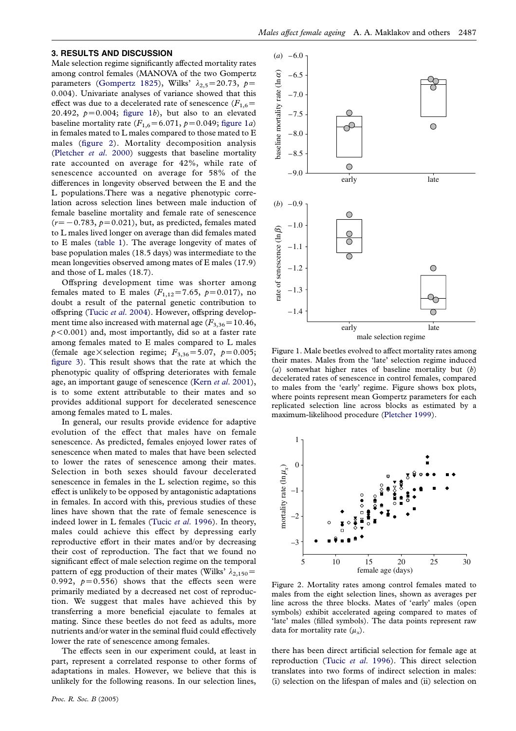#### 3. RESULTS AND DISCUSSION

Male selection regime significantly affected mortality rates among control females (MANOVA of the two Gompertz parameters ([Gompertz 1825](#page-4-0)), Wilks'  $\lambda_{2,5}$ =20.73, p= 0.004). Univariate analyses of variance showed that this effect was due to a decelerated rate of senescence  $(F_{1,6}$ 20.492,  $p=0.004$ ; figure 1b), but also to an elevated baseline mortality rate  $(F_{1,6}=6.071, p=0.049;$  figure 1a) in females mated to L males compared to those mated to E males (figure 2). Mortality decomposition analysis ([Pletcher](#page-4-0) et al. 2000) suggests that baseline mortality rate accounted on average for 42%, while rate of senescence accounted on average for 58% of the differences in longevity observed between the E and the L populations.There was a negative phenotypic correlation across selection lines between male induction of female baseline mortality and female rate of senescence  $(r=-0.783, p=0.021)$ , but, as predicted, females mated to L males lived longer on average than did females mated to E males [\(table 1\)](#page-3-0). The average longevity of mates of base population males (18.5 days) was intermediate to the mean longevities observed among mates of E males (17.9) and those of L males (18.7).

Offspring development time was shorter among females mated to E males ( $F_{1,12} = 7.65$ ,  $p=0.017$ ), no doubt a result of the paternal genetic contribution to offspring (Tucic et al[. 2004](#page-4-0)). However, offspring development time also increased with maternal age ( $F_{3,36}$ =10.46,  $p$ <0.001) and, most importantly, did so at a faster rate among females mated to E males compared to L males (female age  $\times$  selection regime;  $F_{3,36}$ =5.07, p=0.005; [figure 3\)](#page-3-0). This result shows that the rate at which the phenotypic quality of offspring deteriorates with female age, an important gauge of senescence (Kern et al[. 2001\)](#page-4-0), is to some extent attributable to their mates and so provides additional support for decelerated senescence among females mated to L males.

In general, our results provide evidence for adaptive evolution of the effect that males have on female senescence. As predicted, females enjoyed lower rates of senescence when mated to males that have been selected to lower the rates of senescence among their mates. Selection in both sexes should favour decelerated senescence in females in the L selection regime, so this effect is unlikely to be opposed by antagonistic adaptations in females. In accord with this, previous studies of these lines have shown that the rate of female senescence is indeed lower in L females (Tucic et al[. 1996\)](#page-4-0). In theory, males could achieve this effect by depressing early reproductive effort in their mates and/or by decreasing their cost of reproduction. The fact that we found no significant effect of male selection regime on the temporal pattern of egg production of their mates (Wilks'  $\lambda_{2,150}$ = 0.992,  $p=0.556$ ) shows that the effects seen were primarily mediated by a decreased net cost of reproduction. We suggest that males have achieved this by transferring a more beneficial ejaculate to females at mating. Since these beetles do not feed as adults, more nutrients and/or water in the seminal fluid could effectively lower the rate of senescence among females.

The effects seen in our experiment could, at least in part, represent a correlated response to other forms of adaptations in males. However, we believe that this is unlikely for the following reasons. In our selection lines,



Figure 1. Male beetles evolved to affect mortality rates among their mates. Males from the 'late' selection regime induced (a) somewhat higher rates of baseline mortality but  $(b)$ decelerated rates of senescence in control females, compared to males from the 'early' regime. Figure shows box plots, where points represent mean Gompertz parameters for each replicated selection line across blocks as estimated by a maximum-likelihood procedure ([Pletcher 1999\)](#page-4-0).



Figure 2. Mortality rates among control females mated to males from the eight selection lines, shown as averages per line across the three blocks. Mates of 'early' males (open symbols) exhibit accelerated ageing compared to mates of 'late' males (filled symbols). The data points represent raw data for mortality rate  $(\mu_x)$ .

there has been direct artificial selection for female age at reproduction (Tucic et al[. 1996](#page-4-0)). This direct selection translates into two forms of indirect selection in males: (i) selection on the lifespan of males and (ii) selection on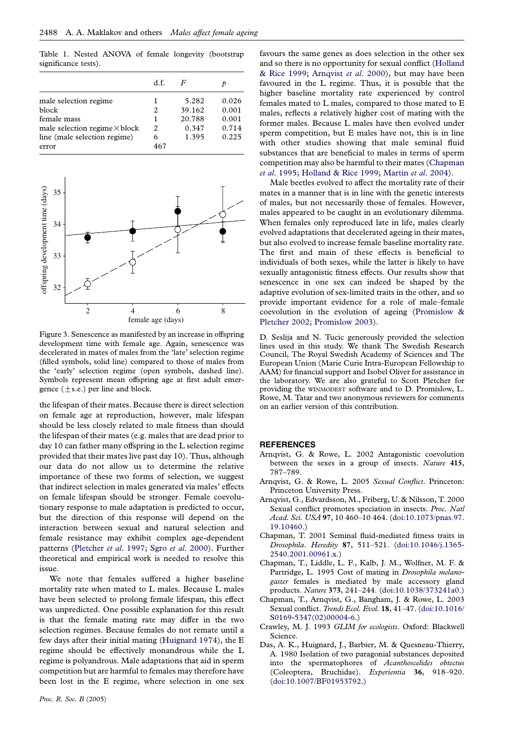<span id="page-3-0"></span>Table 1. Nested ANOVA of female longevity (bootstrap significance tests).

|                                      | d.f. | F      |       |
|--------------------------------------|------|--------|-------|
| male selection regime                |      | 5.282  | 0.026 |
| block                                | 2    | 39.162 | 0.001 |
| female mass                          | 1    | 20.788 | 0.001 |
| male selection regime $\times$ block | 2    | 0.347  | 0.714 |
| line (male selection regime)         | 6    | 1.395  | 0.225 |
| error                                | 467  |        |       |



Figure 3. Senescence as manifested by an increase in offspring development time with female age. Again, senescence was decelerated in mates of males from the 'late' selection regime (filled symbols, solid line) compared to those of males from the 'early' selection regime (open symbols, dashed line). Symbols represent mean offspring age at first adult emergence  $(\pm s.e.)$  per line and block.

the lifespan of their mates. Because there is direct selection on female age at reproduction, however, male lifespan should be less closely related to male fitness than should the lifespan of their mates (e.g. males that are dead prior to day 10 can father many offspring in the L selection regime provided that their mates live past day 10). Thus, although our data do not allow us to determine the relative importance of these two forms of selection, we suggest that indirect selection in males generated via males' effects on female lifespan should be stronger. Female coevolutionary response to male adaptation is predicted to occur, but the direction of this response will depend on the interaction between sexual and natural selection and female resistance may exhibit complex age-dependent patterns ([Pletcher](#page-4-0) et al. 1997; Sgro et al[. 2000\)](#page-4-0). Further theoretical and empirical work is needed to resolve this issue.

We note that females suffered a higher baseline mortality rate when mated to L males. Because L males have been selected to prolong female lifespan, this effect was unpredicted. One possible explanation for this result is that the female mating rate may differ in the two selection regimes. Because females do not remate until a few days after their initial mating [\(Huignard 1974](#page-4-0)), the E regime should be effectively monandrous while the L regime is polyandrous. Male adaptations that aid in sperm competition but are harmful to females may therefore have been lost in the E regime, where selection in one sex favours the same genes as does selection in the other sex and so there is no opportunity for sexual conflict ([Holland](#page-4-0) [& Rice 1999](#page-4-0); Arnqvist et al. 2000), but may have been favoured in the L regime. Thus, it is possible that the higher baseline mortality rate experienced by control females mated to L males, compared to those mated to E males, reflects a relatively higher cost of mating with the former males. Because L males have then evolved under sperm competition, but E males have not, this is in line with other studies showing that male seminal fluid substances that are beneficial to males in terms of sperm competition may also be harmful to their mates (Chapman et al. 1995; [Holland & Rice 1999](#page-4-0); [Martin](#page-4-0) et al. 2004).

Male beetles evolved to affect the mortality rate of their mates in a manner that is in line with the genetic interests of males, but not necessarily those of females. However, males appeared to be caught in an evolutionary dilemma. When females only reproduced late in life, males clearly evolved adaptations that decelerated ageing in their mates, but also evolved to increase female baseline mortality rate. The first and main of these effects is beneficial to individuals of both sexes, while the latter is likely to have sexually antagonistic fitness effects. Our results show that senescence in one sex can indeed be shaped by the adaptive evolution of sex-limited traits in the other, and so provide important evidence for a role of male–female coevolution in the evolution of ageing [\(Promislow &](#page-4-0) [Pletcher 2002;](#page-4-0) [Promislow 2003\)](#page-4-0).

D. Seslija and N. Tucic generously provided the selection lines used in this study. We thank The Swedish Research Council, The Royal Swedish Academy of Sciences and The European Union (Marie Curie Intra-European Fellowship to AAM) for financial support and Isobel Oliver for assistance in the laboratory. We are also grateful to Scott Pletcher for providing the WINMODEST software and to D. Promislow, L. Rowe, M. Tatar and two anonymous reviewers for comments on an earlier version of this contribution.

#### **REFERENCES**

- Arnqvist, G. & Rowe, L. 2002 Antagonistic coevolution between the sexes in a group of insects. Nature 415, 787–789.
- Arnqvist, G. & Rowe, L. 2005 Sexual Conflict. Princeton: Princeton University Press.
- Arnqvist, G., Edvardsson, M., Friberg, U. & Nilsson, T. 2000 Sexual conflict promotes speciation in insects. Proc. Natl Acad. Sci. USA 97, 10 460–10 464. ([doi:10.1073/pnas.97.](http://dx.doi.org/doi:10.1073/pnas.97.19.10460) [19.10460.](http://dx.doi.org/doi:10.1073/pnas.97.19.10460))
- Chapman, T. 2001 Seminal fluid-mediated fitness traits in Drosophila. Heredity 87, 511–521. ([doi:10.1046/j.1365-](http://dx.doi.org/doi:10.1046/j.1365-2540.2001.00961.x) [2540.2001.00961.x.\)](http://dx.doi.org/doi:10.1046/j.1365-2540.2001.00961.x)
- Chapman, T., Liddle, L. F., Kalb, J. M., Wolfner, M. F. & Partridge, L. 1995 Cost of mating in Drosophila melanogaster females is mediated by male accessory gland products. Nature 373, 241–244. ([doi:10.1038/373241a0.](http://dx.doi.org/doi:10.1038/373241a0))
- Chapman, T., Arnqvist, G., Bangham, J. & Rowe, L. 2003 Sexual conflict. Trends Ecol. Evol. 18, 41–47. ([doi:10.1016/](http://dx.doi.org/doi:10.1016/S0169-5347(02)00004-6) [S0169-5347\(02\)00004-6.\)](http://dx.doi.org/doi:10.1016/S0169-5347(02)00004-6)
- Crawley, M. J. 1993 GLIM for ecologists. Oxford: Blackwell Science.
- Das, A. K., Huignard, J., Barbier, M. & Quesneau-Thierry, A. 1980 Isolation of two paragonial substances deposited into the spermatophores of Acanthoscelides obtectus (Coleoptera, Bruchidae). Experientia 36, 918–920. ([doi:10.1007/BF01953792.\)](http://dx.doi.org/doi:10.1007/BF01953792)